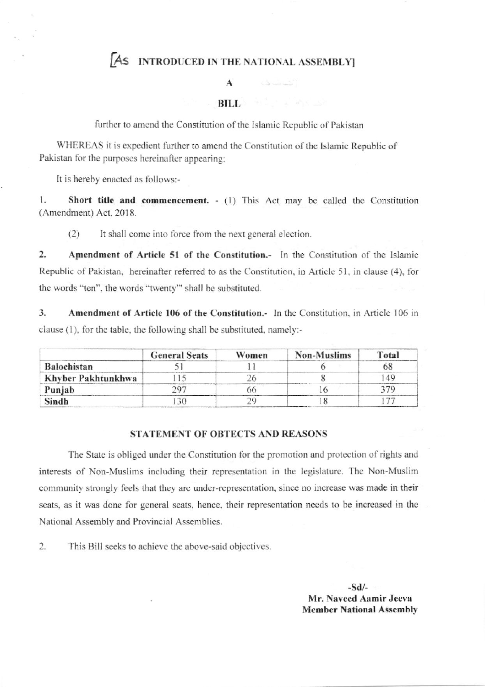## AS INTRODUCED IN THE NATIONAL ASSEMBLY]

أأشاد فالمحال

## $\mathbf{A}$

**BILL** ALL AND

further to amend the Constitution of the Islamic Republic of Pakistan

WHEREAS it is expedient further to amend the Constitution of the Islamic Republic of Pakistan for the purposes hereinafter appearing;

It is hereby enacted as follows:-

 $1.$ Short title and commencement. - (1) This Act may be called the Constitution (Amendment) Act, 2018.

 $(2)$ It shall come into force from the next general election.

 $\overline{2}$ . Amendment of Article 51 of the Constitution.- In the Constitution of the Islamic Republic of Pakistan, hereinafter referred to as the Constitution, in Article 51, in clause (4), for the words "ten", the words "twenty" shall be substituted.

 $\overline{3}$ . Amendment of Article 106 of the Constitution. In the Constitution, in Article 106 in clause (1), for the table, the following shall be substituted, namely:-

|                    | <b>General Seats</b> | Women | Non-Muslims | Total |
|--------------------|----------------------|-------|-------------|-------|
| <b>Balochistan</b> |                      |       |             |       |
| Khyber Pakhtunkhwa |                      |       |             | 149   |
| Punjab             |                      |       |             |       |
| Sindh              |                      |       |             |       |

## **STATEMENT OF OBTECTS AND REASONS**

The State is obliged under the Constitution for the promotion and protection of rights and interests of Non-Muslims including their representation in the legislature. The Non-Muslim community strongly feels that they are under-representation, since no increase was made in their seats, as it was done for general seats, hence, their representation needs to be increased in the National Assembly and Provincial Assemblies.

 $2.$ This Bill seeks to achieve the above-said objectives.

> $-Sd/$ Mr. Naveed Aamir Jeeva **Member National Assembly**